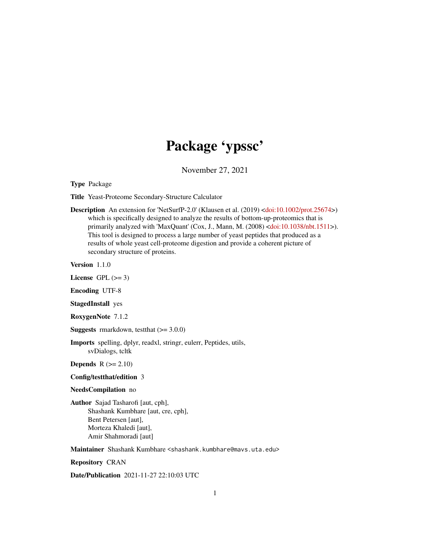# Package 'ypssc'

November 27, 2021

Type Package

Title Yeast-Proteome Secondary-Structure Calculator

Description An extension for 'NetSurfP-2.0' (Klausen et al. (2019) [<doi:10.1002/prot.25674>](https://doi.org/10.1002/prot.25674)) which is specifically designed to analyze the results of bottom-up-proteomics that is primarily analyzed with 'MaxQuant' (Cox, J., Mann, M. (2008) [<doi:10.1038/nbt.1511>](https://doi.org/10.1038/nbt.1511)). This tool is designed to process a large number of yeast peptides that produced as a results of whole yeast cell-proteome digestion and provide a coherent picture of secondary structure of proteins.

Version 1.1.0

License GPL  $(>= 3)$ 

Encoding UTF-8

StagedInstall yes

RoxygenNote 7.1.2

**Suggests** rmarkdown, test that  $(>= 3.0.0)$ 

Imports spelling, dplyr, readxl, stringr, eulerr, Peptides, utils, svDialogs, tcltk

**Depends**  $R$  ( $>= 2.10$ )

Config/testthat/edition 3

# NeedsCompilation no

Author Sajad Tasharofi [aut, cph], Shashank Kumbhare [aut, cre, cph], Bent Petersen [aut], Morteza Khaledi [aut], Amir Shahmoradi [aut]

Maintainer Shashank Kumbhare <shashank.kumbhare@mavs.uta.edu>

Repository CRAN

Date/Publication 2021-11-27 22:10:03 UTC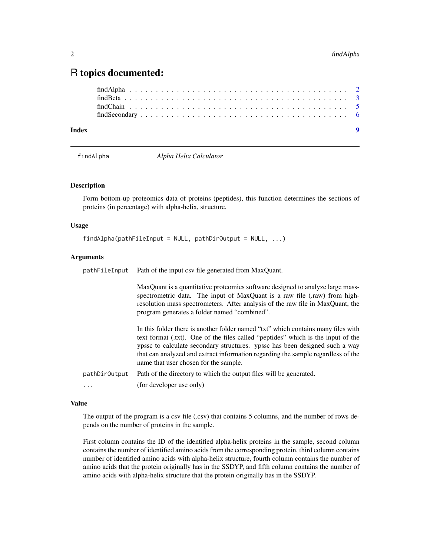# <span id="page-1-0"></span>R topics documented:

# **Index** [9](#page-8-0)

<span id="page-1-1"></span>findAlpha *Alpha Helix Calculator*

# Description

Form bottom-up proteomics data of proteins (peptides), this function determines the sections of proteins (in percentage) with alpha-helix, structure.

#### Usage

```
findAlpha(pathFileInput = NULL, pathDirOutput = NULL, ...)
```
# Arguments

pathFileInput Path of the input csv file generated from MaxQuant.

MaxQuant is a quantitative proteomics software designed to analyze large massspectrometric data. The input of MaxQuant is a raw file (.raw) from highresolution mass spectrometers. After analysis of the raw file in MaxQuant, the program generates a folder named "combined".

In this folder there is another folder named "txt" which contains many files with text format (.txt). One of the files called "peptides" which is the input of the ypssc to calculate secondary structures. ypssc has been designed such a way that can analyzed and extract information regarding the sample regardless of the name that user chosen for the sample.

pathDirOutput Path of the directory to which the output files will be generated.

... (for developer use only)

#### Value

The output of the program is a csv file (.csv) that contains 5 columns, and the number of rows depends on the number of proteins in the sample.

First column contains the ID of the identified alpha-helix proteins in the sample, second column contains the number of identified amino acids from the corresponding protein, third column contains number of identified amino acids with alpha-helix structure, fourth column contains the number of amino acids that the protein originally has in the SSDYP, and fifth column contains the number of amino acids with alpha-helix structure that the protein originally has in the SSDYP.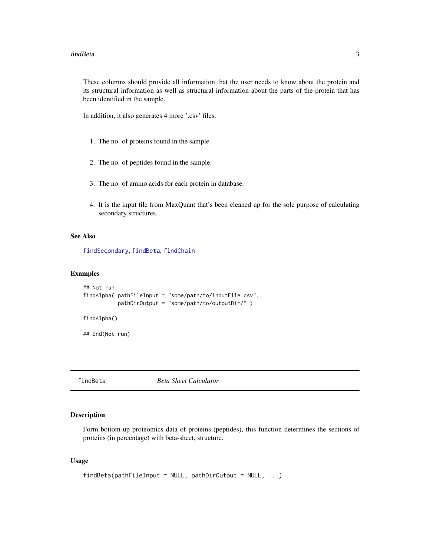<span id="page-2-0"></span>These columns should provide all information that the user needs to know about the protein and its structural information as well as structural information about the parts of the protein that has been identified in the sample.

In addition, it also generates 4 more '.csv' files.

- 1. The no. of proteins found in the sample.
- 2. The no. of peptides found in the sample.
- 3. The no. of amino acids for each protein in database.
- 4. It is the input file from MaxQuant that's been cleaned up for the sole purpose of calculating secondary structures.

# See Also

[findSecondary](#page-5-1), [findBeta](#page-2-1), [findChain](#page-4-1)

# Examples

```
## Not run:
findAlpha( pathFileInput = "some/path/to/inputFile.csv",
           pathDirOutput = "some/path/to/outputDir/" )
findAlpha()
```
## End(Not run)

<span id="page-2-1"></span>

findBeta *Beta Sheet Calculator*

#### Description

Form bottom-up proteomics data of proteins (peptides), this function determines the sections of proteins (in percentage) with beta-sheet, structure.

# Usage

```
findBeta(pathFileInput = NULL, pathDirOutput = NULL, ...)
```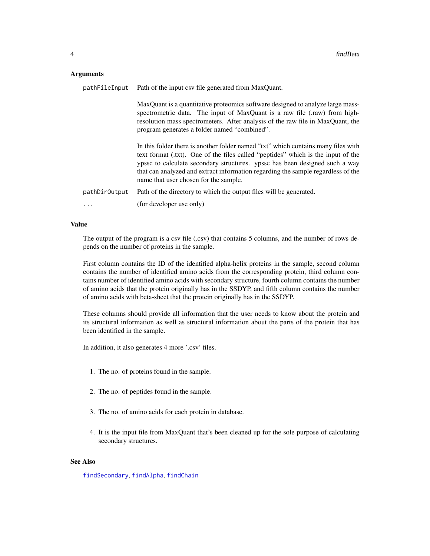# <span id="page-3-0"></span>Arguments

| pathFileInput | Path of the input csv file generated from MaxQuant.                                                                                                                                                                                                                                                                                                                               |  |  |  |  |  |  |  |  |
|---------------|-----------------------------------------------------------------------------------------------------------------------------------------------------------------------------------------------------------------------------------------------------------------------------------------------------------------------------------------------------------------------------------|--|--|--|--|--|--|--|--|
|               | MaxQuant is a quantitative proteomics software designed to analyze large mass-<br>spectrometric data. The input of MaxQuant is a raw file (.raw) from high-<br>resolution mass spectrometers. After analysis of the raw file in MaxQuant, the<br>program generates a folder named "combined".                                                                                     |  |  |  |  |  |  |  |  |
|               | In this folder there is another folder named "txt" which contains many files with<br>text format (.txt). One of the files called "peptides" which is the input of the<br>ypssc to calculate secondary structures. ypssc has been designed such a way<br>that can analyzed and extract information regarding the sample regardless of the<br>name that user chosen for the sample. |  |  |  |  |  |  |  |  |
| pathDirOutput | Path of the directory to which the output files will be generated.                                                                                                                                                                                                                                                                                                                |  |  |  |  |  |  |  |  |
| $\cdots$      | (for developer use only)                                                                                                                                                                                                                                                                                                                                                          |  |  |  |  |  |  |  |  |

# Value

The output of the program is a csv file (.csv) that contains 5 columns, and the number of rows depends on the number of proteins in the sample.

First column contains the ID of the identified alpha-helix proteins in the sample, second column contains the number of identified amino acids from the corresponding protein, third column contains number of identified amino acids with secondary structure, fourth column contains the number of amino acids that the protein originally has in the SSDYP, and fifth column contains the number of amino acids with beta-sheet that the protein originally has in the SSDYP.

These columns should provide all information that the user needs to know about the protein and its structural information as well as structural information about the parts of the protein that has been identified in the sample.

In addition, it also generates 4 more '.csv' files.

- 1. The no. of proteins found in the sample.
- 2. The no. of peptides found in the sample.
- 3. The no. of amino acids for each protein in database.
- 4. It is the input file from MaxQuant that's been cleaned up for the sole purpose of calculating secondary structures.

# See Also

[findSecondary](#page-5-1), [findAlpha](#page-1-1), [findChain](#page-4-1)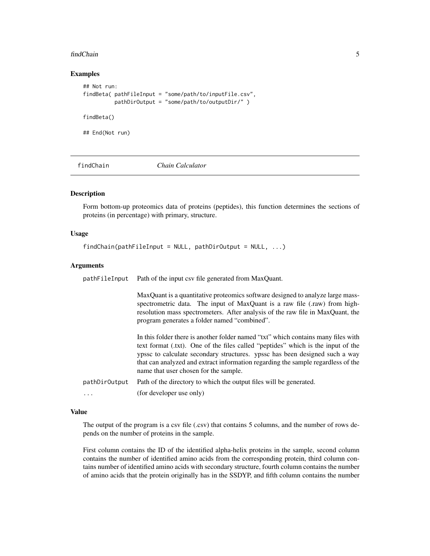#### <span id="page-4-0"></span>findChain 5

# Examples

```
## Not run:
findBeta( pathFileInput = "some/path/to/inputFile.csv",
          pathDirOutput = "some/path/to/outputDir/" )
findBeta()
## End(Not run)
```
<span id="page-4-1"></span>findChain *Chain Calculator*

# Description

Form bottom-up proteomics data of proteins (peptides), this function determines the sections of proteins (in percentage) with primary, structure.

# Usage

findChain(pathFileInput = NULL, pathDirOutput = NULL, ...)

# **Arguments**

| pathFileInput | Path of the input csv file generated from MaxQuant.                                                                                                                                                                                                                                                                                                                               |  |  |  |  |  |  |  |  |  |  |
|---------------|-----------------------------------------------------------------------------------------------------------------------------------------------------------------------------------------------------------------------------------------------------------------------------------------------------------------------------------------------------------------------------------|--|--|--|--|--|--|--|--|--|--|
|               | MaxQuant is a quantitative proteomics software designed to analyze large mass-<br>spectrometric data. The input of MaxQuant is a raw file (.raw) from high-<br>resolution mass spectrometers. After analysis of the raw file in MaxQuant, the<br>program generates a folder named "combined".                                                                                     |  |  |  |  |  |  |  |  |  |  |
|               | In this folder there is another folder named "txt" which contains many files with<br>text format (.txt). One of the files called "peptides" which is the input of the<br>ypssc to calculate secondary structures. ypssc has been designed such a way<br>that can analyzed and extract information regarding the sample regardless of the<br>name that user chosen for the sample. |  |  |  |  |  |  |  |  |  |  |
| pathDirOutput | Path of the directory to which the output files will be generated.                                                                                                                                                                                                                                                                                                                |  |  |  |  |  |  |  |  |  |  |
| $\cdots$      | (for developer use only)                                                                                                                                                                                                                                                                                                                                                          |  |  |  |  |  |  |  |  |  |  |

# Value

The output of the program is a csv file (.csv) that contains 5 columns, and the number of rows depends on the number of proteins in the sample.

First column contains the ID of the identified alpha-helix proteins in the sample, second column contains the number of identified amino acids from the corresponding protein, third column contains number of identified amino acids with secondary structure, fourth column contains the number of amino acids that the protein originally has in the SSDYP, and fifth column contains the number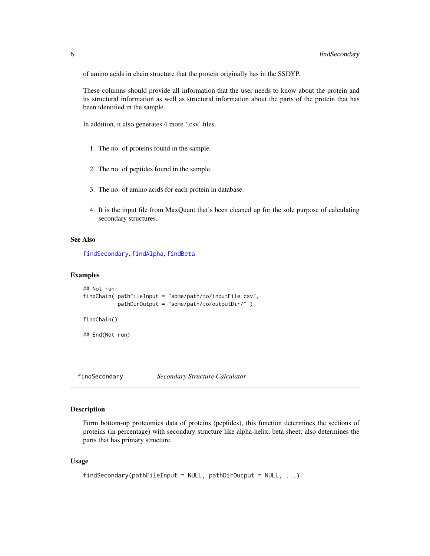<span id="page-5-0"></span>of amino acids in chain structure that the protein originally has in the SSDYP.

These columns should provide all information that the user needs to know about the protein and its structural information as well as structural information about the parts of the protein that has been identified in the sample.

In addition, it also generates 4 more '.csv' files.

- 1. The no. of proteins found in the sample.
- 2. The no. of peptides found in the sample.
- 3. The no. of amino acids for each protein in database.
- 4. It is the input file from MaxQuant that's been cleaned up for the sole purpose of calculating secondary structures.

# See Also

[findSecondary](#page-5-1), [findAlpha](#page-1-1), [findBeta](#page-2-1)

#### Examples

```
## Not run:
findChain( pathFileInput = "some/path/to/inputFile.csv",
           pathDirOutput = "some/path/to/outputDir/" )
findChain()
```
## End(Not run)

<span id="page-5-1"></span>findSecondary *Secondary Structure Calculator*

#### Description

Form bottom-up proteomics data of proteins (peptides), this function determines the sections of proteins (in percentage) with secondary structure like alpha-helix, beta sheet; also determines the parts that has primary structure.

#### Usage

```
findSecondary(pathFileInput = NULL, pathDirOutput = NULL, ...)
```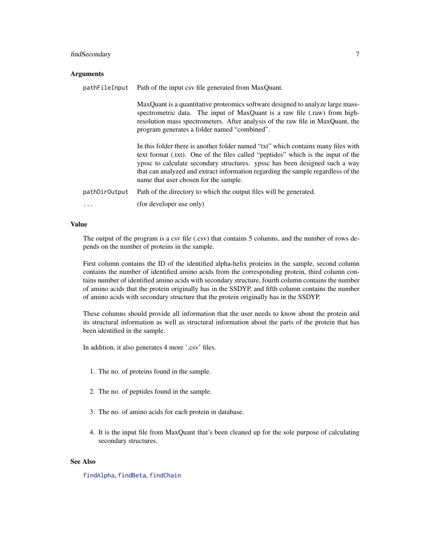# <span id="page-6-0"></span>findSecondary 7

### **Arguments**

| pathFileInput | Path of the input csv file generated from MaxQuant.                                                                                                                                                                                                                                                                                                                               |  |  |  |  |  |  |  |  |
|---------------|-----------------------------------------------------------------------------------------------------------------------------------------------------------------------------------------------------------------------------------------------------------------------------------------------------------------------------------------------------------------------------------|--|--|--|--|--|--|--|--|
|               | MaxQuant is a quantitative proteomics software designed to analyze large mass-<br>spectrometric data. The input of MaxQuant is a raw file (.raw) from high-<br>resolution mass spectrometers. After analysis of the raw file in MaxQuant, the<br>program generates a folder named "combined".                                                                                     |  |  |  |  |  |  |  |  |
|               | In this folder there is another folder named "txt" which contains many files with<br>text format (.txt). One of the files called "peptides" which is the input of the<br>ypssc to calculate secondary structures. ypssc has been designed such a way<br>that can analyzed and extract information regarding the sample regardless of the<br>name that user chosen for the sample. |  |  |  |  |  |  |  |  |
| pathDirOutput | Path of the directory to which the output files will be generated.                                                                                                                                                                                                                                                                                                                |  |  |  |  |  |  |  |  |
| $\cdots$      | (for developer use only)                                                                                                                                                                                                                                                                                                                                                          |  |  |  |  |  |  |  |  |

# Value

The output of the program is a csv file (.csv) that contains 5 columns, and the number of rows depends on the number of proteins in the sample.

First column contains the ID of the identified alpha-helix proteins in the sample, second column contains the number of identified amino acids from the corresponding protein, third column contains number of identified amino acids with secondary structure, fourth column contains the number of amino acids that the protein originally has in the SSDYP, and fifth column contains the number of amino acids with secondary structure that the protein originally has in the SSDYP.

These columns should provide all information that the user needs to know about the protein and its structural information as well as structural information about the parts of the protein that has been identified in the sample.

In addition, it also generates 4 more '.csv' files.

- 1. The no. of proteins found in the sample.
- 2. The no. of peptides found in the sample.
- 3. The no. of amino acids for each protein in database.
- 4. It is the input file from MaxQuant that's been cleaned up for the sole purpose of calculating secondary structures.

# See Also

[findAlpha](#page-1-1), [findBeta](#page-2-1), [findChain](#page-4-1)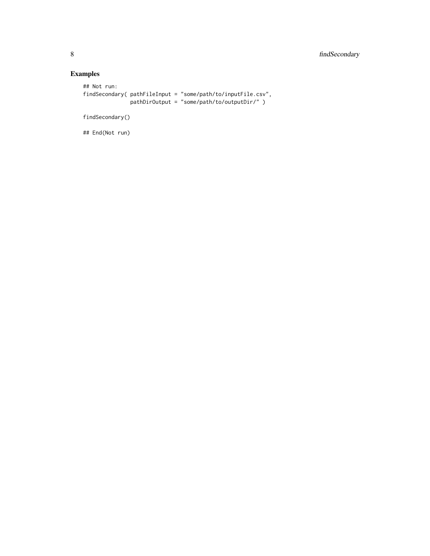# Examples

```
## Not run:
findSecondary( pathFileInput = "some/path/to/inputFile.csv",
               pathDirOutput = "some/path/to/outputDir/" )
```
findSecondary()

## End(Not run)